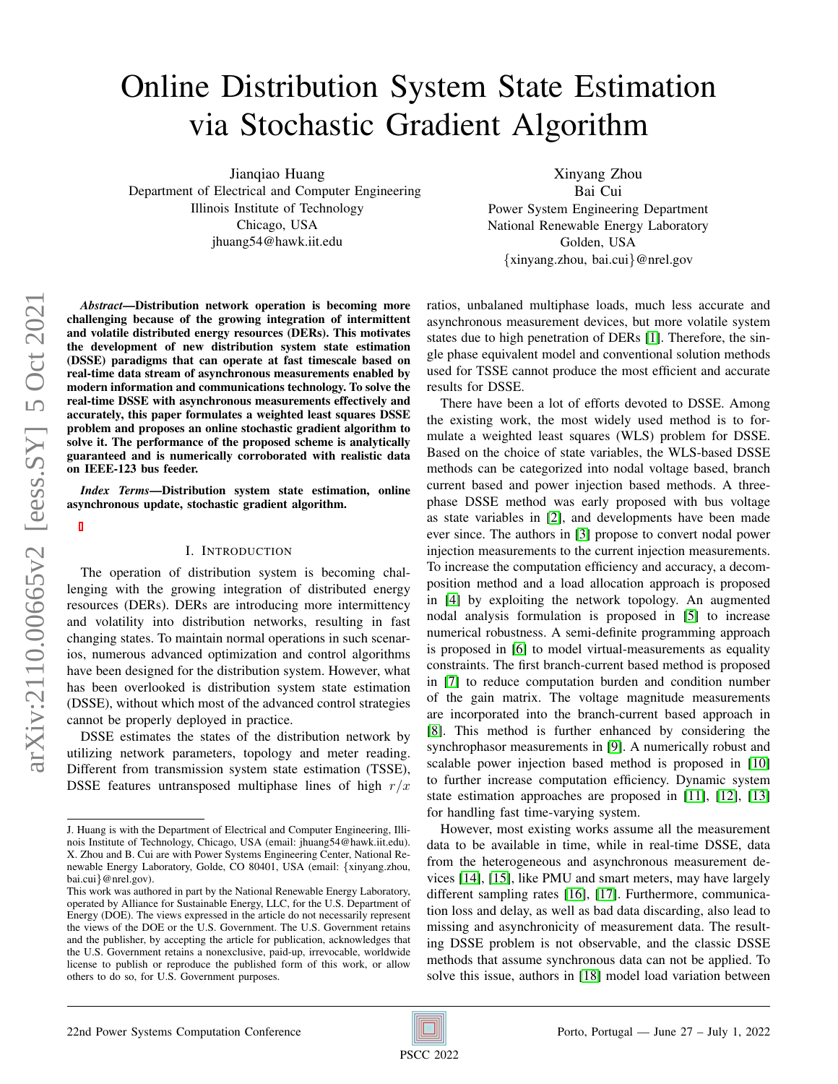# Online Distribution System State Estimation via Stochastic Gradient Algorithm

Jianqiao Huang Department of Electrical and Computer Engineering Illinois Institute of Technology Chicago, USA jhuang54@hawk.iit.edu

Xinyang Zhou Bai Cui Power System Engineering Department National Renewable Energy Laboratory Golden, USA {xinyang.zhou, bai.cui}@nrel.gov

*Abstract*—Distribution network operation is becoming more challenging because of the growing integration of intermittent and volatile distributed energy resources (DERs). This motivates the development of new distribution system state estimation (DSSE) paradigms that can operate at fast timescale based on real-time data stream of asynchronous measurements enabled by modern information and communications technology. To solve the real-time DSSE with asynchronous measurements effectively and accurately, this paper formulates a weighted least squares DSSE problem and proposes an online stochastic gradient algorithm to solve it. The performance of the proposed scheme is analytically guaranteed and is numerically corroborated with realistic data on IEEE-123 bus feeder.

*Index Terms*—Distribution system state estimation, online asynchronous update, stochastic gradient algorithm.

# I. INTRODUCTION

The operation of distribution system is becoming challenging with the growing integration of distributed energy resources (DERs). DERs are introducing more intermittency and volatility into distribution networks, resulting in fast changing states. To maintain normal operations in such scenarios, numerous advanced optimization and control algorithms have been designed for the distribution system. However, what has been overlooked is distribution system state estimation (DSSE), without which most of the advanced control strategies cannot be properly deployed in practice.

DSSE estimates the states of the distribution network by utilizing network parameters, topology and meter reading. Different from transmission system state estimation (TSSE), DSSE features untransposed multiphase lines of high  $r/x$  ratios, unbalaned multiphase loads, much less accurate and asynchronous measurement devices, but more volatile system states due to high penetration of DERs [\[1\]](#page-6-0). Therefore, the single phase equivalent model and conventional solution methods used for TSSE cannot produce the most efficient and accurate results for DSSE.

There have been a lot of efforts devoted to DSSE. Among the existing work, the most widely used method is to formulate a weighted least squares (WLS) problem for DSSE. Based on the choice of state variables, the WLS-based DSSE methods can be categorized into nodal voltage based, branch current based and power injection based methods. A threephase DSSE method was early proposed with bus voltage as state variables in [\[2\]](#page-6-1), and developments have been made ever since. The authors in [\[3\]](#page-6-2) propose to convert nodal power injection measurements to the current injection measurements. To increase the computation efficiency and accuracy, a decomposition method and a load allocation approach is proposed in [\[4\]](#page-6-3) by exploiting the network topology. An augmented nodal analysis formulation is proposed in [\[5\]](#page-6-4) to increase numerical robustness. A semi-definite programming approach is proposed in [\[6\]](#page-6-5) to model virtual-measurements as equality constraints. The first branch-current based method is proposed in [\[7\]](#page-6-6) to reduce computation burden and condition number of the gain matrix. The voltage magnitude measurements are incorporated into the branch-current based approach in [\[8\]](#page-6-7). This method is further enhanced by considering the synchrophasor measurements in [\[9\]](#page-6-8). A numerically robust and scalable power injection based method is proposed in [\[10\]](#page-6-9) to further increase computation efficiency. Dynamic system state estimation approaches are proposed in [\[11\]](#page-6-10), [\[12\]](#page-6-11), [\[13\]](#page-6-12) for handling fast time-varying system.

However, most existing works assume all the measurement data to be available in time, while in real-time DSSE, data from the heterogeneous and asynchronous measurement devices [\[14\]](#page-6-13), [\[15\]](#page-6-14), like PMU and smart meters, may have largely different sampling rates [\[16\]](#page-6-15), [\[17\]](#page-6-16). Furthermore, communication loss and delay, as well as bad data discarding, also lead to missing and asynchronicity of measurement data. The resulting DSSE problem is not observable, and the classic DSSE methods that assume synchronous data can not be applied. To solve this issue, authors in [\[18\]](#page-6-17) model load variation between

J. Huang is with the Department of Electrical and Computer Engineering, Illinois Institute of Technology, Chicago, USA (email: jhuang54@hawk.iit.edu). X. Zhou and B. Cui are with Power Systems Engineering Center, National Renewable Energy Laboratory, Golde, CO 80401, USA (email: {xinyang.zhou, bai.cui}@nrel.gov).

This work was authored in part by the National Renewable Energy Laboratory, operated by Alliance for Sustainable Energy, LLC, for the U.S. Department of Energy (DOE). The views expressed in the article do not necessarily represent the views of the DOE or the U.S. Government. The U.S. Government retains and the publisher, by accepting the article for publication, acknowledges that the U.S. Government retains a nonexclusive, paid-up, irrevocable, worldwide license to publish or reproduce the published form of this work, or allow others to do so, for U.S. Government purposes.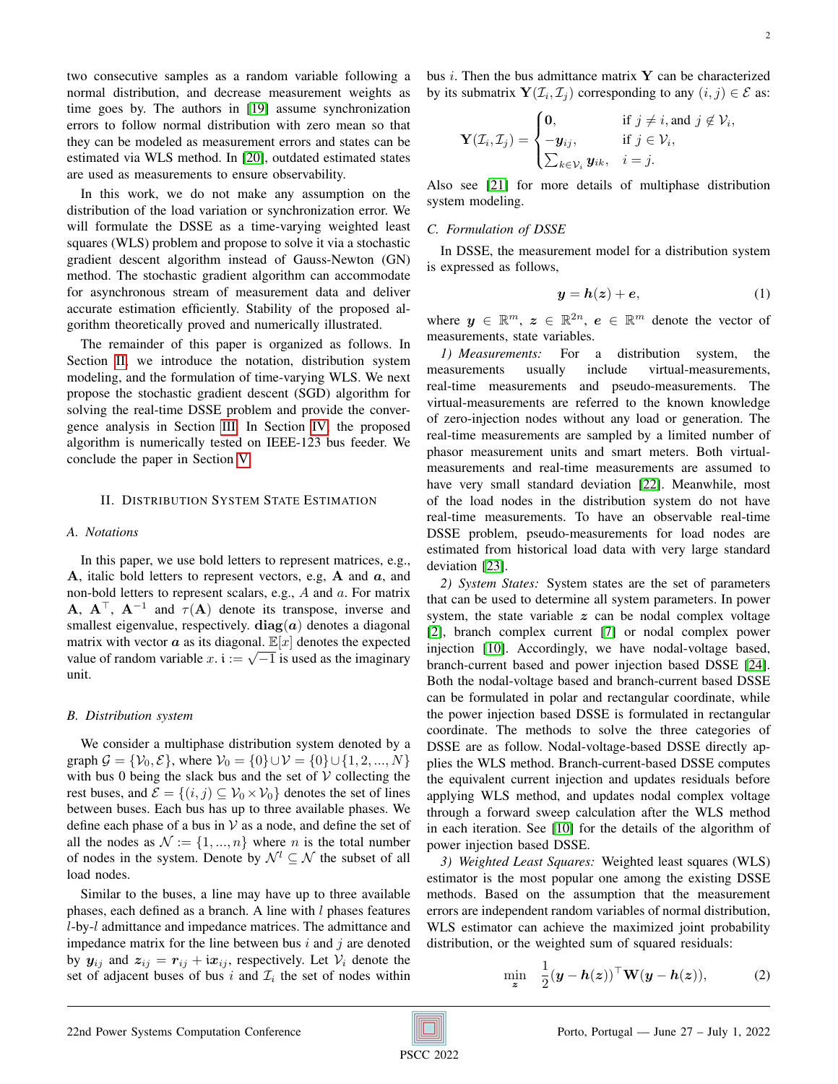two consecutive samples as a random variable following a normal distribution, and decrease measurement weights as time goes by. The authors in [\[19\]](#page-6-18) assume synchronization errors to follow normal distribution with zero mean so that they can be modeled as measurement errors and states can be estimated via WLS method. In [\[20\]](#page-6-19), outdated estimated states are used as measurements to ensure observability.

In this work, we do not make any assumption on the distribution of the load variation or synchronization error. We will formulate the DSSE as a time-varying weighted least squares (WLS) problem and propose to solve it via a stochastic gradient descent algorithm instead of Gauss-Newton (GN) method. The stochastic gradient algorithm can accommodate for asynchronous stream of measurement data and deliver accurate estimation efficiently. Stability of the proposed algorithm theoretically proved and numerically illustrated.

The remainder of this paper is organized as follows. In Section [II,](#page-1-0) we introduce the notation, distribution system modeling, and the formulation of time-varying WLS. We next propose the stochastic gradient descent (SGD) algorithm for solving the real-time DSSE problem and provide the convergence analysis in Section [III.](#page-2-0) In Section [IV,](#page-5-0) the proposed algorithm is numerically tested on IEEE-123 bus feeder. We conclude the paper in Section [V.](#page-6-20)

#### <span id="page-1-0"></span>II. DISTRIBUTION SYSTEM STATE ESTIMATION

#### *A. Notations*

In this paper, we use bold letters to represent matrices, e.g., A, italic bold letters to represent vectors, e.g,  $A$  and  $a$ , and non-bold letters to represent scalars, e.g., A and a. For matrix **A**,  $A^{\top}$ ,  $A^{-1}$  and  $\tau(A)$  denote its transpose, inverse and smallest eigenvalue, respectively.  $diag(a)$  denotes a diagonal matrix with vector  $\boldsymbol{a}$  as its diagonal.  $\mathbb{E}[x]$  denotes the expected matrix with vector  $\boldsymbol{a}$  as its diagonal.  $\mathbb{E}[x]$  denotes the expected value of random variable  $x$ .  $\mathbf{i} := \sqrt{-1}$  is used as the imaginary unit.

#### *B. Distribution system*

We consider a multiphase distribution system denoted by a graph  $G = \{V_0, E\}$ , where  $V_0 = \{0\} \cup V = \{0\} \cup \{1, 2, ..., N\}$ with bus 0 being the slack bus and the set of  $V$  collecting the rest buses, and  $\mathcal{E} = \{(i, j) \subseteq \mathcal{V}_0 \times \mathcal{V}_0\}$  denotes the set of lines between buses. Each bus has up to three available phases. We define each phase of a bus in  $V$  as a node, and define the set of all the nodes as  $\mathcal{N} := \{1, ..., n\}$  where *n* is the total number of nodes in the system. Denote by  $\mathcal{N}^l \subseteq \mathcal{N}$  the subset of all load nodes.

Similar to the buses, a line may have up to three available phases, each defined as a branch. A line with  $l$  phases features l-by-l admittance and impedance matrices. The admittance and impedance matrix for the line between bus  $i$  and  $j$  are denoted by  $y_{ij}$  and  $z_{ij} = r_{ij} + i x_{ij}$ , respectively. Let  $\mathcal{V}_i$  denote the set of adjacent buses of bus i and  $\mathcal{I}_i$  the set of nodes within bus  $i$ . Then the bus admittance matrix  $Y$  can be characterized by its submatrix  $\mathbf{Y}(\mathcal{I}_i, \mathcal{I}_j)$  corresponding to any  $(i, j) \in \mathcal{E}$  as:

$$
\mathbf{Y}(\mathcal{I}_i, \mathcal{I}_j) = \begin{cases} \mathbf{0}, & \text{if } j \neq i, \text{and } j \notin \mathcal{V}_i, \\ -\mathbf{y}_{ij}, & \text{if } j \in \mathcal{V}_i, \\ \sum_{k \in \mathcal{V}_i} \mathbf{y}_{ik}, & i = j. \end{cases}
$$

Also see [\[21\]](#page-6-21) for more details of multiphase distribution system modeling.

#### *C. Formulation of DSSE*

In DSSE, the measurement model for a distribution system is expressed as follows,

$$
y = h(z) + e,\tag{1}
$$

where  $y \in \mathbb{R}^m$ ,  $z \in \mathbb{R}^{2n}$ ,  $e \in \mathbb{R}^m$  denote the vector of measurements, state variables.

*1) Measurements:* For a distribution system, the measurements usually include virtual-measurements, real-time measurements and pseudo-measurements. The virtual-measurements are referred to the known knowledge of zero-injection nodes without any load or generation. The real-time measurements are sampled by a limited number of phasor measurement units and smart meters. Both virtualmeasurements and real-time measurements are assumed to have very small standard deviation [\[22\]](#page-6-22). Meanwhile, most of the load nodes in the distribution system do not have real-time measurements. To have an observable real-time DSSE problem, pseudo-measurements for load nodes are estimated from historical load data with very large standard deviation [\[23\]](#page-6-23).

*2) System States:* System states are the set of parameters that can be used to determine all system parameters. In power system, the state variable  $z$  can be nodal complex voltage [\[2\]](#page-6-1), branch complex current [\[7\]](#page-6-6) or nodal complex power injection [\[10\]](#page-6-9). Accordingly, we have nodal-voltage based, branch-current based and power injection based DSSE [\[24\]](#page-6-24). Both the nodal-voltage based and branch-current based DSSE can be formulated in polar and rectangular coordinate, while the power injection based DSSE is formulated in rectangular coordinate. The methods to solve the three categories of DSSE are as follow. Nodal-voltage-based DSSE directly applies the WLS method. Branch-current-based DSSE computes the equivalent current injection and updates residuals before applying WLS method, and updates nodal complex voltage through a forward sweep calculation after the WLS method in each iteration. See [\[10\]](#page-6-9) for the details of the algorithm of power injection based DSSE.

*3) Weighted Least Squares:* Weighted least squares (WLS) estimator is the most popular one among the existing DSSE methods. Based on the assumption that the measurement errors are independent random variables of normal distribution, WLS estimator can achieve the maximized joint probability distribution, or the weighted sum of squared residuals:

<span id="page-1-1"></span>
$$
\min_{\mathbf{z}} \quad \frac{1}{2}(\mathbf{y}-\mathbf{h}(\mathbf{z}))^{\top}\mathbf{W}(\mathbf{y}-\mathbf{h}(\mathbf{z})), \tag{2}
$$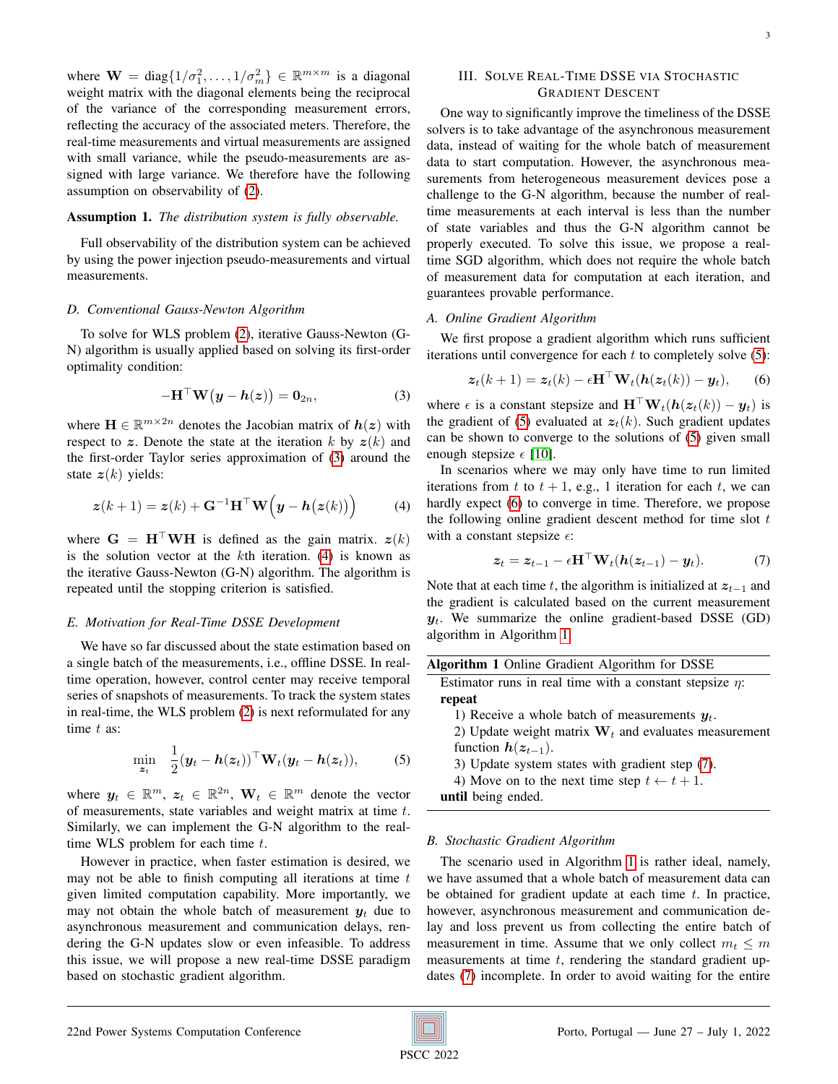where  $\mathbf{W} = \text{diag}\{1/\sigma_1^2, \dots, 1/\sigma_m^2\} \in \mathbb{R}^{m \times m}$  is a diagonal weight matrix with the diagonal elements being the reciprocal of the variance of the corresponding measurement errors, reflecting the accuracy of the associated meters. Therefore, the real-time measurements and virtual measurements are assigned with small variance, while the pseudo-measurements are assigned with large variance. We therefore have the following assumption on observability of [\(2\)](#page-1-1).

# <span id="page-2-7"></span>Assumption 1. *The distribution system is fully observable.*

Full observability of the distribution system can be achieved by using the power injection pseudo-measurements and virtual measurements.

#### *D. Conventional Gauss-Newton Algorithm*

To solve for WLS problem [\(2\)](#page-1-1), iterative Gauss-Newton (G-N) algorithm is usually applied based on solving its first-order optimality condition:

$$
-\mathbf{H}^{\top}\mathbf{W}\big(\mathbf{y}-\mathbf{h}(\mathbf{z})\big)=\mathbf{0}_{2n},\tag{3}
$$

where  $\mathbf{H} \in \mathbb{R}^{m \times 2n}$  denotes the Jacobian matrix of  $h(z)$  with respect to z. Denote the state at the iteration k by  $z(k)$  and the first-order Taylor series approximation of [\(3\)](#page-2-1) around the state  $z(k)$  yields:

<span id="page-2-2"></span>
$$
\boldsymbol{z}(k+1) = \boldsymbol{z}(k) + \mathbf{G}^{-1} \mathbf{H}^{\top} \mathbf{W} (\boldsymbol{y} - \boldsymbol{h}(\boldsymbol{z}(k))) \tag{4}
$$

where  $G = H^{\top}WH$  is defined as the gain matrix.  $z(k)$ is the solution vector at the  $k$ th iteration. [\(4\)](#page-2-2) is known as the iterative Gauss-Newton (G-N) algorithm. The algorithm is repeated until the stopping criterion is satisfied.

#### *E. Motivation for Real-Time DSSE Development*

We have so far discussed about the state estimation based on a single batch of the measurements, i.e., offline DSSE. In realtime operation, however, control center may receive temporal series of snapshots of measurements. To track the system states in real-time, the WLS problem [\(2\)](#page-1-1) is next reformulated for any time  $t$  as:

<span id="page-2-3"></span>
$$
\min_{\mathbf{z}_t} \quad \frac{1}{2}(\mathbf{y}_t - \mathbf{h}(\mathbf{z}_t))^{\top} \mathbf{W}_t(\mathbf{y}_t - \mathbf{h}(\mathbf{z}_t)), \tag{5}
$$

where  $y_t \in \mathbb{R}^m$ ,  $z_t \in \mathbb{R}^{2n}$ ,  $\mathbf{W}_t \in \mathbb{R}^m$  denote the vector of measurements, state variables and weight matrix at time  $t$ . Similarly, we can implement the G-N algorithm to the realtime WLS problem for each time  $t$ .

However in practice, when faster estimation is desired, we may not be able to finish computing all iterations at time  $t$ given limited computation capability. More importantly, we may not obtain the whole batch of measurement  $y_t$  due to asynchronous measurement and communication delays, rendering the G-N updates slow or even infeasible. To address this issue, we will propose a new real-time DSSE paradigm based on stochastic gradient algorithm.

# <span id="page-2-0"></span>III. SOLVE REAL-TIME DSSE VIA STOCHASTIC GRADIENT DESCENT

One way to significantly improve the timeliness of the DSSE solvers is to take advantage of the asynchronous measurement data, instead of waiting for the whole batch of measurement data to start computation. However, the asynchronous measurements from heterogeneous measurement devices pose a challenge to the G-N algorithm, because the number of realtime measurements at each interval is less than the number of state variables and thus the G-N algorithm cannot be properly executed. To solve this issue, we propose a realtime SGD algorithm, which does not require the whole batch of measurement data for computation at each iteration, and guarantees provable performance.

# *A. Online Gradient Algorithm*

We first propose a gradient algorithm which runs sufficient iterations until convergence for each  $t$  to completely solve  $(5)$ :

<span id="page-2-4"></span>
$$
\mathbf{z}_t(k+1) = \mathbf{z}_t(k) - \epsilon \mathbf{H}^\top \mathbf{W}_t(\mathbf{h}(\mathbf{z}_t(k)) - \mathbf{y}_t), \qquad (6)
$$

<span id="page-2-1"></span>where  $\epsilon$  is a constant stepsize and  $\mathbf{H}^{\top} \mathbf{W}_t(\mathbf{h}(\mathbf{z}_t(k)) - \mathbf{y}_t)$  is the gradient of [\(5\)](#page-2-3) evaluated at  $z_t(k)$ . Such gradient updates can be shown to converge to the solutions of [\(5\)](#page-2-3) given small enough stepsize  $\epsilon$  [\[10\]](#page-6-9).

In scenarios where we may only have time to run limited iterations from t to  $t + 1$ , e.g., 1 iteration for each t, we can hardly expect [\(6\)](#page-2-4) to converge in time. Therefore, we propose the following online gradient descent method for time slot  $t$ with a constant stepsize  $\epsilon$ :

<span id="page-2-6"></span>
$$
\boldsymbol{z}_t = \boldsymbol{z}_{t-1} - \epsilon \mathbf{H}^\top \mathbf{W}_t (\boldsymbol{h}(\boldsymbol{z}_{t-1}) - \boldsymbol{y}_t). \tag{7}
$$

Note that at each time t, the algorithm is initialized at  $z_{t-1}$  and the gradient is calculated based on the current measurement  $y_t$ . We summarize the online gradient-based DSSE (GD) algorithm in Algorithm [1.](#page-2-5)

<span id="page-2-5"></span>

| Algorithm 1 Online Gradient Algorithm for DSSE                |  |  |  |
|---------------------------------------------------------------|--|--|--|
| Estimator runs in real time with a constant stepsize $\eta$ : |  |  |  |
| repeat                                                        |  |  |  |
| 1) Receive a whole batch of measurements $\mathbf{u}_t$ .     |  |  |  |
| 2) Undate weight matrix $W_{\ell}$ and evaluates measureme    |  |  |  |

- 2) Update weight matrix  $W_t$  and evaluates measurement function  $h(z_{t-1})$ .
- 3) Update system states with gradient step [\(7\)](#page-2-6).
- 4) Move on to the next time step  $t \leftarrow t + 1$ .

until being ended.

## *B. Stochastic Gradient Algorithm*

The scenario used in Algorithm [1](#page-2-5) is rather ideal, namely, we have assumed that a whole batch of measurement data can be obtained for gradient update at each time  $t$ . In practice, however, asynchronous measurement and communication delay and loss prevent us from collecting the entire batch of measurement in time. Assume that we only collect  $m_t \le m$ measurements at time  $t$ , rendering the standard gradient updates [\(7\)](#page-2-6) incomplete. In order to avoid waiting for the entire

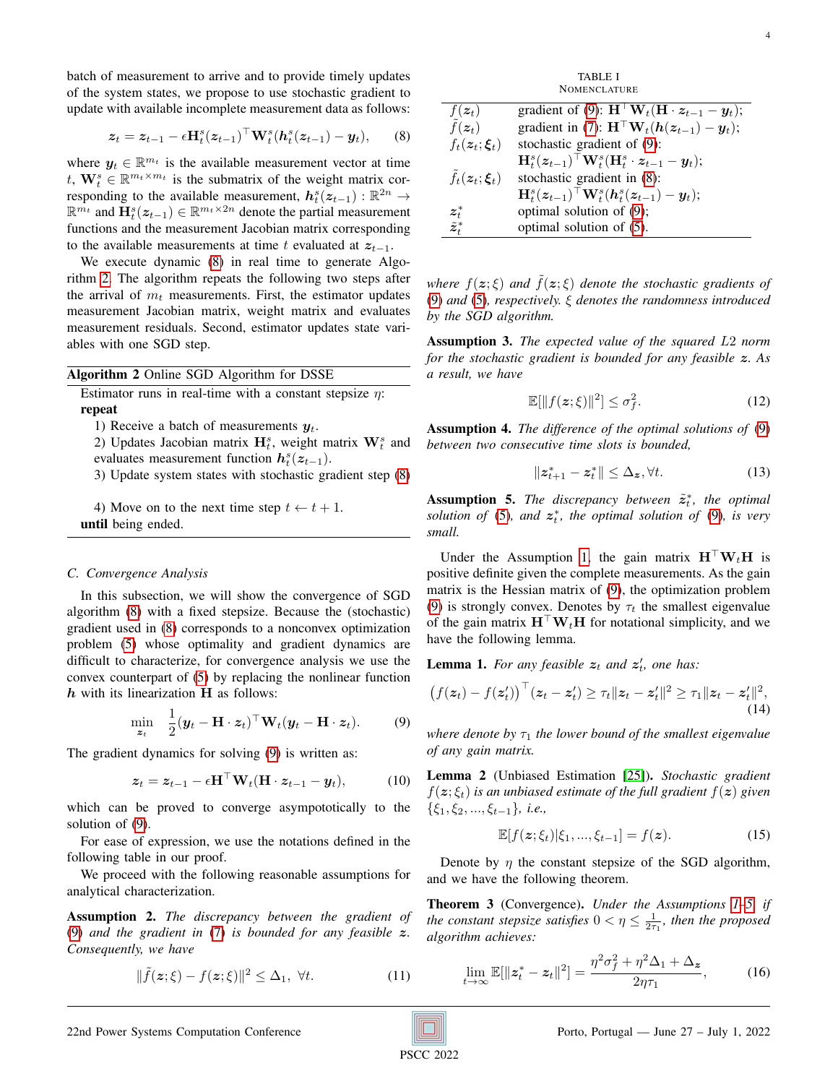batch of measurement to arrive and to provide timely updates of the system states, we propose to use stochastic gradient to update with available incomplete measurement data as follows:

$$
\boldsymbol{z}_t = \boldsymbol{z}_{t-1} - \epsilon \mathbf{H}_t^s (\boldsymbol{z}_{t-1})^\top \mathbf{W}_t^s (\boldsymbol{h}_t^s (\boldsymbol{z}_{t-1}) - \boldsymbol{y}_t), \qquad (8)
$$

where  $y_t \in \mathbb{R}^{m_t}$  is the available measurement vector at time t,  $\mathbf{W}_t^s \in \mathbb{R}^{m_t \times m_t}$  is the submatrix of the weight matrix corresponding to the available measurement,  $h_t^s(z_{t-1})$  :  $\mathbb{R}^{2n}$  →  $\mathbb{R}^{m_t}$  and  $\mathbf{H}_{t}^{s}(z_{t-1}) \in \mathbb{R}^{m_t \times 2n}$  denote the partial measurement functions and the measurement Jacobian matrix corresponding to the available measurements at time t evaluated at  $z_{t-1}$ .

We execute dynamic [\(8\)](#page-3-0) in real time to generate Algorithm [2.](#page-3-1) The algorithm repeats the following two steps after the arrival of  $m_t$  measurements. First, the estimator updates measurement Jacobian matrix, weight matrix and evaluates measurement residuals. Second, estimator updates state variables with one SGD step.

<span id="page-3-1"></span>

| <b>Algorithm 2</b> Online SGD Algorithm for DSSE |                                                                                                                 |  |  |  |  |
|--------------------------------------------------|-----------------------------------------------------------------------------------------------------------------|--|--|--|--|
|                                                  | Estimator runs in real-time with a constant stepsize $\eta$ :                                                   |  |  |  |  |
|                                                  | repeat                                                                                                          |  |  |  |  |
|                                                  | $\mathbf{1} \setminus \mathbf{D}$ $\mathbf{1}$ $\mathbf{1}$ $\mathbf{1}$ $\mathbf{C}$ $\mathbf{1}$ $\mathbf{1}$ |  |  |  |  |

1) Receive a batch of measurements  $y_t$ .

2) Updates Jacobian matrix  $\mathbf{H}_{t}^{s}$ , weight matrix  $\mathbf{W}_{t}^{s}$  and evaluates measurement function  $h_t^s(z_{t-1})$ .

3) Update system states with stochastic gradient step [\(8\)](#page-3-0)

4) Move on to the next time step  $t \leftarrow t + 1$ . until being ended.

#### *C. Convergence Analysis*

In this subsection, we will show the convergence of SGD algorithm [\(8\)](#page-3-0) with a fixed stepsize. Because the (stochastic) gradient used in [\(8\)](#page-3-0) corresponds to a nonconvex optimization problem [\(5\)](#page-2-3) whose optimality and gradient dynamics are difficult to characterize, for convergence analysis we use the convex counterpart of [\(5\)](#page-2-3) by replacing the nonlinear function  $h$  with its linearization  $H$  as follows:

<span id="page-3-2"></span>
$$
\min_{\mathbf{z}_t} \quad \frac{1}{2} (\mathbf{y}_t - \mathbf{H} \cdot \mathbf{z}_t)^\top \mathbf{W}_t (\mathbf{y}_t - \mathbf{H} \cdot \mathbf{z}_t). \tag{9}
$$

The gradient dynamics for solving [\(9\)](#page-3-2) is written as:

$$
\mathbf{z}_t = \mathbf{z}_{t-1} - \epsilon \mathbf{H}^\top \mathbf{W}_t (\mathbf{H} \cdot \mathbf{z}_{t-1} - \mathbf{y}_t), \tag{10}
$$

which can be proved to converge asympototically to the solution of [\(9\)](#page-3-2).

For ease of expression, we use the notations defined in the following table in our proof.

We proceed with the following reasonable assumptions for analytical characterization.

Assumption 2. *The discrepancy between the gradient of* [\(9\)](#page-3-2) *and the gradient in* [\(7\)](#page-2-6) *is bounded for any feasible* z*. Consequently, we have*

<span id="page-3-5"></span>
$$
\|\tilde{f}(\boldsymbol{z};\boldsymbol{\xi}) - f(\boldsymbol{z};\boldsymbol{\xi})\|^2 \leq \Delta_1, \ \forall t. \tag{11}
$$

<span id="page-3-0"></span>

| <b>NOMENCLATURE</b>                    |                                                                                                     |  |  |  |
|----------------------------------------|-----------------------------------------------------------------------------------------------------|--|--|--|
| $f(z_t)$                               | gradient of (9): $\mathbf{H}^\top \mathbf{W}_t (\mathbf{H} \cdot \mathbf{z}_{t-1} - \mathbf{y}_t);$ |  |  |  |
| $\tilde{f}(\boldsymbol{z}_t)$          | gradient in (7): $\mathbf{H}^\top \mathbf{W}_t(\mathbf{h}(\mathbf{z}_{t-1}) - \mathbf{y}_t);$       |  |  |  |
| $f_t(z_t;\boldsymbol{\xi}_t)$          | stochastic gradient of (9):                                                                         |  |  |  |
|                                        | ${\bf H}_t^s({\bm z}_{t-1})^{\top}{\bf W}_t^s({\bf H}_t^s \cdot {\bm z}_{t-1} - {\bm y}_t);$        |  |  |  |
| $\tilde{f}_t(z_t;\boldsymbol{\xi}_t)$  | stochastic gradient in (8):                                                                         |  |  |  |
|                                        | ${\bf H}_t^s({\bm{z}}_{t-1})^\top {\bf W}_t^s({\bm{h}}_t^s({\bm{z}}_{t-1})-{\bm{y}}_t);$            |  |  |  |
| $\boldsymbol{z}_t^*$                   | optimal solution of (9);                                                                            |  |  |  |
| $\tilde{z}_{{\scriptscriptstyle f}}^*$ | optimal solution of (5).                                                                            |  |  |  |

TABLE I

*where*  $f(z;\xi)$  *and*  $\tilde{f}(z;\xi)$  *denote the stochastic gradients of* [\(9\)](#page-3-2) *and* [\(5\)](#page-2-3)*, respectively.* ξ *denotes the randomness introduced by the SGD algorithm.*

Assumption 3. *The expected value of the squared* L2 *norm for the stochastic gradient is bounded for any feasible* z*. As a result, we have*

<span id="page-3-4"></span>
$$
\mathbb{E}[\|f(z;\xi)\|^2] \le \sigma_f^2. \tag{12}
$$

Assumption 4. *The difference of the optimal solutions of* [\(9\)](#page-3-2) *between two consecutive time slots is bounded,*

<span id="page-3-6"></span>
$$
||z_{t+1}^* - z_t^*|| \le \Delta_z, \forall t. \tag{13}
$$

<span id="page-3-3"></span>**Assumption 5.** The discrepancy between  $\tilde{z}_t^*$ , the optimal solution of  $(5)$ *, and*  $z_t^*$ *, the optimal solution of*  $(9)$ *, is very small.*

Under the Assumption [1,](#page-2-7) the gain matrix  $\mathbf{H}^\top \mathbf{W}_t \mathbf{H}$  is positive definite given the complete measurements. As the gain matrix is the Hessian matrix of [\(9\)](#page-3-2), the optimization problem [\(9\)](#page-3-2) is strongly convex. Denotes by  $\tau_t$  the smallest eigenvalue of the gain matrix  $H^{\dagger}W_tH$  for notational simplicity, and we have the following lemma.

**Lemma 1.** For any feasible  $z_t$  and  $z'_t$ , one has:

$$
\big(f(\boldsymbol{z}_t) - f(\boldsymbol{z}'_t)\big)^\top(\boldsymbol{z}_t - \boldsymbol{z}'_t) \geq \tau_t \| \boldsymbol{z}_t - \boldsymbol{z}'_t \|^2 \geq \tau_1 \| \boldsymbol{z}_t - \boldsymbol{z}'_t \|^2,\tag{14}
$$

*where denote by*  $\tau_1$  *the lower bound of the smallest eigenvalue of any gain matrix.*

Lemma 2 (Unbiased Estimation [\[25\]](#page-6-25)). *Stochastic gradient*  $f(z; \xi_t)$  *is an unbiased estimate of the full gradient*  $f(z)$  *given*  $\{\xi_1, \xi_2, ..., \xi_{t-1}\}\$ *, i.e.,* 

<span id="page-3-7"></span>
$$
\mathbb{E}[f(z; \xi_t)|\xi_1, ..., \xi_{t-1}] = f(z). \tag{15}
$$

Denote by  $\eta$  the constant stepsize of the SGD algorithm, and we have the following theorem.

<span id="page-3-9"></span>Theorem 3 (Convergence). *Under the Assumptions [1](#page-2-7)[–5,](#page-3-3) if the constant stepsize satisfies*  $0 < \eta \leq \frac{1}{2\tau_1}$ *, then the proposed algorithm achieves:*

<span id="page-3-8"></span>
$$
\lim_{t \to \infty} \mathbb{E}[\|z_t^* - z_t\|^2] = \frac{\eta^2 \sigma_f^2 + \eta^2 \Delta_1 + \Delta_z}{2\eta \tau_1},
$$
 (16)

22nd Power Systems Computation Conference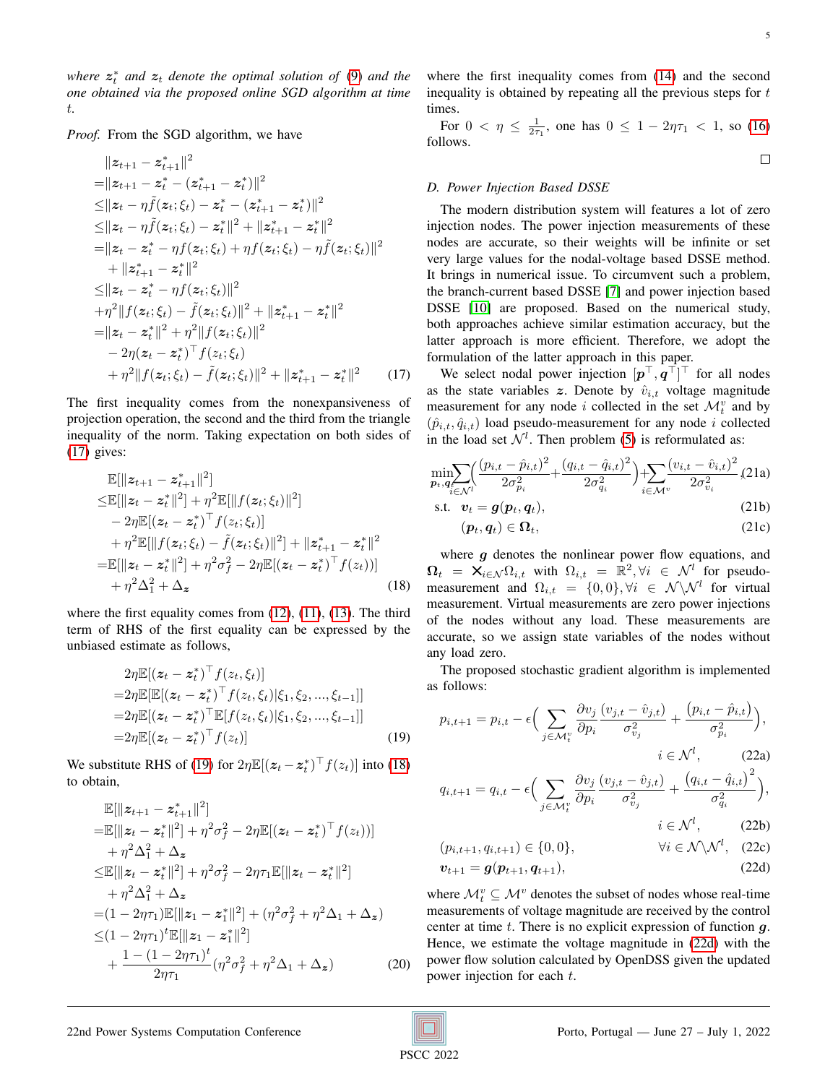$where$   $z_t^*$  *and*  $z_t$  *denote the optimal solution of* [\(9\)](#page-3-2) *and the one obtained via the proposed online SGD algorithm at time* t*.*

*Proof.* From the SGD algorithm, we have

$$
||z_{t+1} - z_{t+1}^*||^2
$$
  
\n
$$
= ||z_{t+1} - z_t^* - (z_{t+1}^* - z_t^*)||^2
$$
  
\n
$$
\leq ||z_t - \eta \tilde{f}(z_t; \xi_t) - z_t^* - (z_{t+1}^* - z_t^*)||^2
$$
  
\n
$$
\leq ||z_t - \eta \tilde{f}(z_t; \xi_t) - z_t^*||^2 + ||z_{t+1}^* - z_t^*||^2
$$
  
\n
$$
= ||z_t - z_t^* - \eta f(z_t; \xi_t) + \eta f(z_t; \xi_t) - \eta \tilde{f}(z_t; \xi_t)||^2
$$
  
\n
$$
+ ||z_{t+1}^* - z_t^*||^2
$$
  
\n
$$
\leq ||z_t - z_t^* - \eta f(z_t; \xi_t)||^2
$$
  
\n
$$
+ \eta^2 ||f(z_t; \xi_t) - \tilde{f}(z_t; \xi_t)||^2 + ||z_{t+1}^* - z_t^*||^2
$$
  
\n
$$
= ||z_t - z_t^*||^2 + \eta^2 ||f(z_t; \xi_t)||^2
$$
  
\n
$$
- 2\eta(z_t - z_t^*)^\top f(z_t; \xi_t)
$$
  
\n
$$
+ \eta^2 ||f(z_t; \xi_t) - \tilde{f}(z_t; \xi_t)||^2 + ||z_{t+1}^* - z_t^*||^2
$$
 (17)

The first inequality comes from the nonexpansiveness of projection operation, the second and the third from the triangle inequality of the norm. Taking expectation on both sides of [\(17\)](#page-4-0) gives:

$$
\mathbb{E}[\|\mathbf{z}_{t+1} - \mathbf{z}_{t+1}^*\|^2] \n\leq \mathbb{E}[\|\mathbf{z}_t - \mathbf{z}_t^*\|^2] + \eta^2 \mathbb{E}[\|f(\mathbf{z}_t; \xi_t)\|^2] \n- 2\eta \mathbb{E}[(\mathbf{z}_t - \mathbf{z}_t^*)^\top f(\mathbf{z}_t; \xi_t)] \n+ \eta^2 \mathbb{E}[\|f(\mathbf{z}_t; \xi_t) - \tilde{f}(\mathbf{z}_t; \xi_t)\|^2] + \|\mathbf{z}_{t+1}^* - \mathbf{z}_t^*\|^2 \n= \mathbb{E}[\|\mathbf{z}_t - \mathbf{z}_t^*\|^2] + \eta^2 \sigma_f^2 - 2\eta \mathbb{E}[(\mathbf{z}_t - \mathbf{z}_t^*)^\top f(\mathbf{z}_t))] \n+ \eta^2 \Delta_1^2 + \Delta_{\mathbf{z}} \n\tag{18}
$$

where the first equality comes from  $(12)$ ,  $(11)$ ,  $(13)$ . The third term of RHS of the first equality can be expressed by the unbiased estimate as follows,

$$
2\eta \mathbb{E}[(z_t - z_t^*)^\top f(z_t, \xi_t)]
$$
  
=2\eta \mathbb{E}[\mathbb{E}[(z\_t - z\_t^\*)^\top f(z\_t, \xi\_t)|\xi\_1, \xi\_2, ..., \xi\_{t-1}]]  
=2\eta \mathbb{E}[(z\_t - z\_t^\*)^\top \mathbb{E}[f(z\_t, \xi\_t)|\xi\_1, \xi\_2, ..., \xi\_{t-1}]]  
=2\eta \mathbb{E}[(z\_t - z\_t^\*)^\top f(z\_t)] (19)

We substitute RHS of [\(19\)](#page-4-1) for  $2\eta \mathbb{E}[(z_t - z_t^*)^\top f(z_t)]$  into [\(18\)](#page-4-2) to obtain,

$$
\mathbb{E}[\|z_{t+1} - z_{t+1}^*\|^2] \n= \mathbb{E}[\|z_t - z_t^*\|^2] + \eta^2 \sigma_f^2 - 2\eta \mathbb{E}[(z_t - z_t^*)^\top f(z_t))] \n+ \eta^2 \Delta_1^2 + \Delta_z \n\leq \mathbb{E}[\|z_t - z_t^*\|^2] + \eta^2 \sigma_f^2 - 2\eta \tau_1 \mathbb{E}[\|z_t - z_t^*\|^2] \n+ \eta^2 \Delta_1^2 + \Delta_z \n= (1 - 2\eta \tau_1) \mathbb{E}[\|z_1 - z_1^*\|^2] + (\eta^2 \sigma_f^2 + \eta^2 \Delta_1 + \Delta_z) \n\leq (1 - 2\eta \tau_1)^t \mathbb{E}[\|z_1 - z_1^*\|^2] \n+ \frac{1 - (1 - 2\eta \tau_1)^t}{2\eta \tau_1} (\eta^2 \sigma_f^2 + \eta^2 \Delta_1 + \Delta_z)
$$
\n(20)

where the first inequality comes from [\(14\)](#page-3-7) and the second inequality is obtained by repeating all the previous steps for t times.

For  $0 < \eta \leq \frac{1}{2\tau_1}$ , one has  $0 \leq 1 - 2\eta \tau_1 < 1$ , so [\(16\)](#page-3-8) follows.

#### $\Box$

## *D. Power Injection Based DSSE*

The modern distribution system will features a lot of zero injection nodes. The power injection measurements of these nodes are accurate, so their weights will be infinite or set very large values for the nodal-voltage based DSSE method. It brings in numerical issue. To circumvent such a problem, the branch-current based DSSE [\[7\]](#page-6-6) and power injection based DSSE [\[10\]](#page-6-9) are proposed. Based on the numerical study, both approaches achieve similar estimation accuracy, but the latter approach is more efficient. Therefore, we adopt the formulation of the latter approach in this paper.

<span id="page-4-0"></span>We select nodal power injection  $[p^\top, q^\top]^\top$  for all nodes as the state variables z. Denote by  $\hat{v}_{i,t}$  voltage magnitude measurement for any node i collected in the set  $\mathcal{M}_t^v$  and by  $(\hat{p}_{i,t}, \hat{q}_{i,t})$  load pseudo-measurement for any node i collected in the load set  $\mathcal{N}^l$ . Then problem [\(5\)](#page-2-3) is reformulated as:

$$
\min_{\boldsymbol{p}_t, \boldsymbol{q}_t \in \mathcal{N}^l} \left( \frac{(p_{i,t} - \hat{p}_{i,t})^2}{2\sigma_{p_i}^2} + \frac{(q_{i,t} - \hat{q}_{i,t})^2}{2\sigma_{q_i}^2} \right) + \sum_{i \in \mathcal{M}^v} \frac{(v_{i,t} - \hat{v}_{i,t})^2}{2\sigma_{v_i}^2} (21a)
$$

$$
\text{s.t.} \quad \boldsymbol{v}_t = \boldsymbol{g}(\boldsymbol{p}_t, \boldsymbol{q}_t), \tag{21b}
$$

$$
(\boldsymbol{p}_t, \boldsymbol{q}_t) \in \Omega_t,\tag{21c}
$$

<span id="page-4-2"></span>where  $g$  denotes the nonlinear power flow equations, and  $\Omega_t = \mathsf{X}_{i \in \mathcal{N}} \Omega_{i,t}$  with  $\Omega_{i,t} = \mathbb{R}^2, \forall i \in \mathcal{N}^l$  for pseudomeasurement and  $\Omega_{i,t} = \{0,0\}, \forall i \in \mathcal{N} \setminus \mathcal{N}^l$  for virtual measurement. Virtual measurements are zero power injections of the nodes without any load. These measurements are accurate, so we assign state variables of the nodes without any load zero.

The proposed stochastic gradient algorithm is implemented as follows:

<span id="page-4-4"></span><span id="page-4-1"></span>
$$
p_{i,t+1} = p_{i,t} - \epsilon \Big( \sum_{j \in \mathcal{M}_t^v} \frac{\partial v_j}{\partial p_i} \frac{(v_{j,t} - \hat{v}_{j,t})}{\sigma_{v_j}^2} + \frac{(p_{i,t} - \hat{p}_{i,t})}{\sigma_{p_i}^2} \Big),
$$
  

$$
i \in \mathcal{N}^l, \qquad (22a)
$$
  

$$
q_{i,t+1} = q_{i,t} - \epsilon \Big( \sum \frac{\partial v_j}{\partial p_i} \frac{(v_{j,t} - \hat{v}_{j,t})}{\sigma_{v,t}^2} + \frac{(q_{i,t} - \hat{q}_{i,t})^2}{\sigma_{v,t}^2} \Big).
$$

$$
q_{i,t+1} = q_{i,t} - \epsilon \Big( \sum_{j \in \mathcal{M}_t^v} \frac{\partial v_j}{\partial p_i} \frac{(v_{j,t} - v_{j,t})}{\sigma_{v_j}^2} + \frac{(q_{i,t} - q_{i,t})}{\sigma_{q_i}^2} \Big),
$$
  

$$
i \in \mathcal{N}^l, \qquad (22b)
$$

$$
(p_{i,t+1}, q_{i,t+1}) \in \{0, 0\}, \qquad \forall i \in \mathcal{N} \backslash \mathcal{N}^l, \quad (22c)
$$

<span id="page-4-3"></span>
$$
v_{t+1} = g(p_{t+1}, q_{t+1}), \tag{22d}
$$

where  $\mathcal{M}_t^v \subseteq \mathcal{M}^v$  denotes the subset of nodes whose real-time measurements of voltage magnitude are received by the control center at time  $t$ . There is no explicit expression of function  $q$ . Hence, we estimate the voltage magnitude in [\(22d\)](#page-4-3) with the power flow solution calculated by OpenDSS given the updated power injection for each t.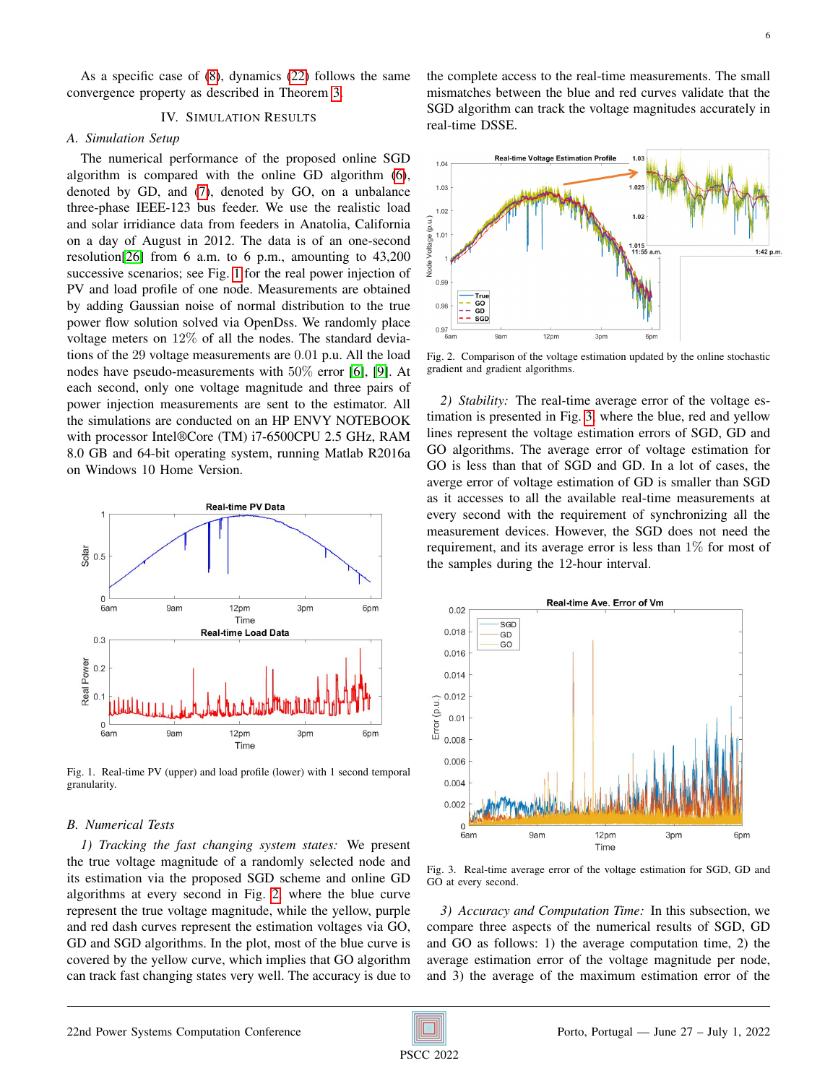As a specific case of [\(8\)](#page-3-0), dynamics [\(22\)](#page-4-4) follows the same convergence property as described in Theorem [3.](#page-3-9)

### IV. SIMULATION RESULTS

# <span id="page-5-0"></span>*A. Simulation Setup*

The numerical performance of the proposed online SGD algorithm is compared with the online GD algorithm [\(6\)](#page-2-4), denoted by GD, and [\(7\)](#page-2-6), denoted by GO, on a unbalance three-phase IEEE-123 bus feeder. We use the realistic load and solar irridiance data from feeders in Anatolia, California on a day of August in 2012. The data is of an one-second resolution[\[26\]](#page-6-26) from 6 a.m. to 6 p.m., amounting to 43,200 successive scenarios; see Fig. [1](#page-5-1) for the real power injection of PV and load profile of one node. Measurements are obtained by adding Gaussian noise of normal distribution to the true power flow solution solved via OpenDss. We randomly place voltage meters on 12% of all the nodes. The standard deviations of the 29 voltage measurements are 0.01 p.u. All the load nodes have pseudo-measurements with 50% error [\[6\]](#page-6-5), [\[9\]](#page-6-8). At each second, only one voltage magnitude and three pairs of power injection measurements are sent to the estimator. All the simulations are conducted on an HP ENVY NOTEBOOK with processor Intel®Core (TM) i7-6500CPU 2.5 GHz, RAM 8.0 GB and 64-bit operating system, running Matlab R2016a on Windows 10 Home Version.



<span id="page-5-1"></span>Fig. 1. Real-time PV (upper) and load profile (lower) with 1 second temporal granularity.

## *B. Numerical Tests*

*1) Tracking the fast changing system states:* We present the true voltage magnitude of a randomly selected node and its estimation via the proposed SGD scheme and online GD algorithms at every second in Fig. [2,](#page-5-2) where the blue curve represent the true voltage magnitude, while the yellow, purple and red dash curves represent the estimation voltages via GO, GD and SGD algorithms. In the plot, most of the blue curve is covered by the yellow curve, which implies that GO algorithm can track fast changing states very well. The accuracy is due to the complete access to the real-time measurements. The small mismatches between the blue and red curves validate that the SGD algorithm can track the voltage magnitudes accurately in real-time DSSE.



<span id="page-5-2"></span>Fig. 2. Comparison of the voltage estimation updated by the online stochastic gradient and gradient algorithms.

*2) Stability:* The real-time average error of the voltage estimation is presented in Fig. [3,](#page-5-3) where the blue, red and yellow lines represent the voltage estimation errors of SGD, GD and GO algorithms. The average error of voltage estimation for GO is less than that of SGD and GD. In a lot of cases, the averge error of voltage estimation of GD is smaller than SGD as it accesses to all the available real-time measurements at every second with the requirement of synchronizing all the measurement devices. However, the SGD does not need the requirement, and its average error is less than 1% for most of the samples during the 12-hour interval.



<span id="page-5-3"></span>Fig. 3. Real-time average error of the voltage estimation for SGD, GD and GO at every second.

*3) Accuracy and Computation Time:* In this subsection, we compare three aspects of the numerical results of SGD, GD and GO as follows: 1) the average computation time, 2) the average estimation error of the voltage magnitude per node, and 3) the average of the maximum estimation error of the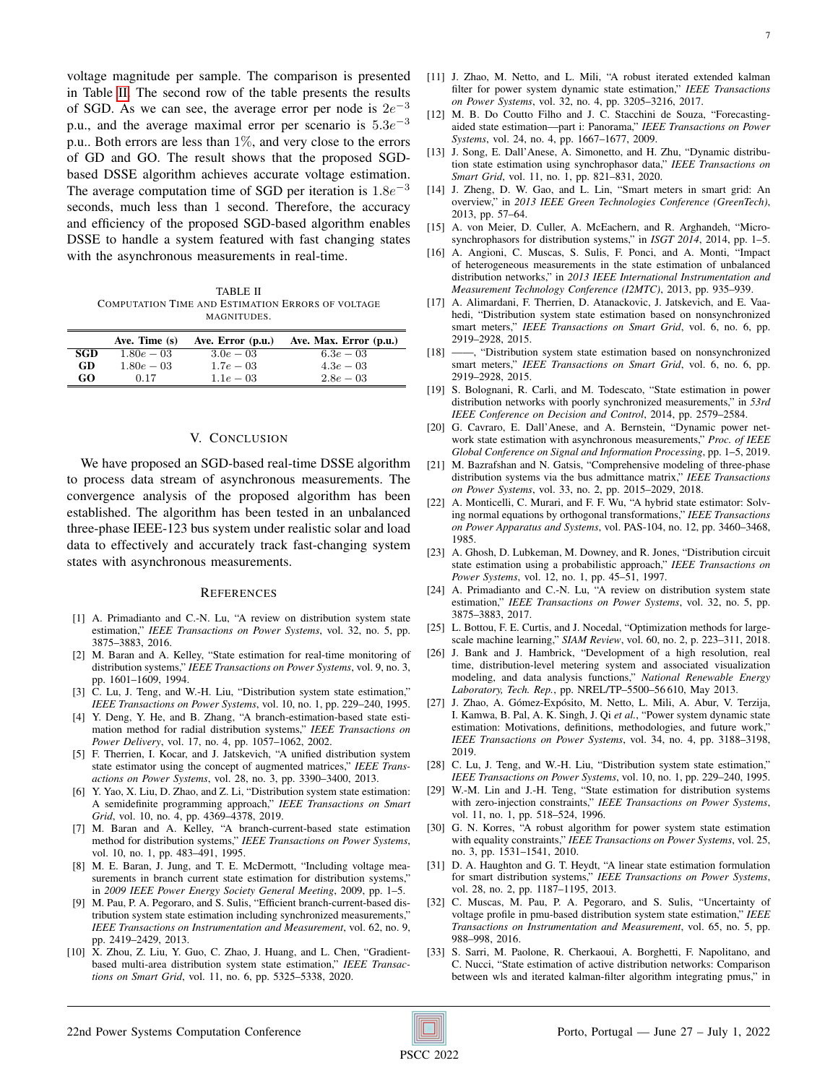voltage magnitude per sample. The comparison is presented in Table [II.](#page-6-27) The second row of the table presents the results of SGD. As we can see, the average error per node is  $2e^{-3}$ p.u., and the average maximal error per scenario is  $5.3e^{-3}$ p.u.. Both errors are less than  $1\%$ , and very close to the errors of GD and GO. The result shows that the proposed SGDbased DSSE algorithm achieves accurate voltage estimation. The average computation time of SGD per iteration is  $1.8e^{-3}$ seconds, much less than 1 second. Therefore, the accuracy and efficiency of the proposed SGD-based algorithm enables DSSE to handle a system featured with fast changing states with the asynchronous measurements in real-time.

<span id="page-6-27"></span>TABLE II COMPUTATION TIME AND ESTIMATION ERRORS OF VOLTAGE MAGNITUDES.

|            | Ave. Time (s) | Ave. Error (p.u.) | Ave. Max. Error (p.u.) |
|------------|---------------|-------------------|------------------------|
| <b>SGD</b> | $1.80e - 0.3$ | $3.0e - 0.3$      | $6.3e - 0.3$           |
| <b>GD</b>  | $1.80e - 0.3$ | $1.7e - 0.3$      | $4.3e - 0.3$           |
| GO         | 0.17          | $1.1e - 0.3$      | $2.8e - 0.3$           |

# V. CONCLUSION

<span id="page-6-20"></span>We have proposed an SGD-based real-time DSSE algorithm to process data stream of asynchronous measurements. The convergence analysis of the proposed algorithm has been established. The algorithm has been tested in an unbalanced three-phase IEEE-123 bus system under realistic solar and load data to effectively and accurately track fast-changing system states with asynchronous measurements.

## **REFERENCES**

- <span id="page-6-0"></span>[1] A. Primadianto and C.-N. Lu, "A review on distribution system state estimation," *IEEE Transactions on Power Systems*, vol. 32, no. 5, pp. 3875–3883, 2016.
- <span id="page-6-1"></span>[2] M. Baran and A. Kelley, "State estimation for real-time monitoring of distribution systems," *IEEE Transactions on Power Systems*, vol. 9, no. 3, pp. 1601–1609, 1994.
- <span id="page-6-2"></span>[3] C. Lu, J. Teng, and W.-H. Liu, "Distribution system state estimation," *IEEE Transactions on Power Systems*, vol. 10, no. 1, pp. 229–240, 1995.
- <span id="page-6-3"></span>[4] Y. Deng, Y. He, and B. Zhang, "A branch-estimation-based state estimation method for radial distribution systems," *IEEE Transactions on Power Delivery*, vol. 17, no. 4, pp. 1057–1062, 2002.
- <span id="page-6-4"></span>[5] F. Therrien, I. Kocar, and J. Jatskevich, "A unified distribution system state estimator using the concept of augmented matrices," *IEEE Transactions on Power Systems*, vol. 28, no. 3, pp. 3390–3400, 2013.
- <span id="page-6-5"></span>[6] Y. Yao, X. Liu, D. Zhao, and Z. Li, "Distribution system state estimation: A semidefinite programming approach," *IEEE Transactions on Smart Grid*, vol. 10, no. 4, pp. 4369–4378, 2019.
- <span id="page-6-6"></span>[7] M. Baran and A. Kelley, "A branch-current-based state estimation method for distribution systems," *IEEE Transactions on Power Systems*, vol. 10, no. 1, pp. 483–491, 1995.
- <span id="page-6-7"></span>[8] M. E. Baran, J. Jung, and T. E. McDermott, "Including voltage measurements in branch current state estimation for distribution systems," in *2009 IEEE Power Energy Society General Meeting*, 2009, pp. 1–5.
- <span id="page-6-8"></span>[9] M. Pau, P. A. Pegoraro, and S. Sulis, "Efficient branch-current-based distribution system state estimation including synchronized measurements," *IEEE Transactions on Instrumentation and Measurement*, vol. 62, no. 9, pp. 2419–2429, 2013.
- <span id="page-6-9"></span>[10] X. Zhou, Z. Liu, Y. Guo, C. Zhao, J. Huang, and L. Chen, "Gradientbased multi-area distribution system state estimation," *IEEE Transactions on Smart Grid*, vol. 11, no. 6, pp. 5325–5338, 2020.

<span id="page-6-10"></span>[11] J. Zhao, M. Netto, and L. Mili, "A robust iterated extended kalman filter for power system dynamic state estimation," *IEEE Transactions on Power Systems*, vol. 32, no. 4, pp. 3205–3216, 2017.

7

- <span id="page-6-11"></span>[12] M. B. Do Coutto Filho and J. C. Stacchini de Souza, "Forecastingaided state estimation—part i: Panorama," *IEEE Transactions on Power Systems*, vol. 24, no. 4, pp. 1667–1677, 2009.
- <span id="page-6-12"></span>[13] J. Song, E. Dall'Anese, A. Simonetto, and H. Zhu, "Dynamic distribution state estimation using synchrophasor data," *IEEE Transactions on Smart Grid*, vol. 11, no. 1, pp. 821–831, 2020.
- <span id="page-6-13"></span>[14] J. Zheng, D. W. Gao, and L. Lin, "Smart meters in smart grid: An overview," in *2013 IEEE Green Technologies Conference (GreenTech)*, 2013, pp. 57–64.
- <span id="page-6-14"></span>[15] A. von Meier, D. Culler, A. McEachern, and R. Arghandeh, "Microsynchrophasors for distribution systems," in *ISGT 2014*, 2014, pp. 1–5.
- <span id="page-6-15"></span>[16] A. Angioni, C. Muscas, S. Sulis, F. Ponci, and A. Monti, "Impact of heterogeneous measurements in the state estimation of unbalanced distribution networks," in *2013 IEEE International Instrumentation and Measurement Technology Conference (I2MTC)*, 2013, pp. 935–939.
- <span id="page-6-16"></span>[17] A. Alimardani, F. Therrien, D. Atanackovic, J. Jatskevich, and E. Vaahedi, "Distribution system state estimation based on nonsynchronized smart meters," *IEEE Transactions on Smart Grid*, vol. 6, no. 6, pp. 2919–2928, 2015.
- <span id="page-6-17"></span>[18] ——, "Distribution system state estimation based on nonsynchronized smart meters," *IEEE Transactions on Smart Grid*, vol. 6, no. 6, pp. 2919–2928, 2015.
- <span id="page-6-18"></span>[19] S. Bolognani, R. Carli, and M. Todescato, "State estimation in power distribution networks with poorly synchronized measurements," in *53rd IEEE Conference on Decision and Control*, 2014, pp. 2579–2584.
- <span id="page-6-19"></span>[20] G. Cavraro, E. Dall'Anese, and A. Bernstein, "Dynamic power network state estimation with asynchronous measurements," *Proc. of IEEE Global Conference on Signal and Information Processing*, pp. 1–5, 2019.
- <span id="page-6-21"></span>[21] M. Bazrafshan and N. Gatsis, "Comprehensive modeling of three-phase distribution systems via the bus admittance matrix," *IEEE Transactions on Power Systems*, vol. 33, no. 2, pp. 2015–2029, 2018.
- <span id="page-6-22"></span>[22] A. Monticelli, C. Murari, and F. F. Wu, "A hybrid state estimator: Solving normal equations by orthogonal transformations," *IEEE Transactions on Power Apparatus and Systems*, vol. PAS-104, no. 12, pp. 3460–3468, 1985.
- <span id="page-6-23"></span>[23] A. Ghosh, D. Lubkeman, M. Downey, and R. Jones, "Distribution circuit state estimation using a probabilistic approach," *IEEE Transactions on Power Systems*, vol. 12, no. 1, pp. 45–51, 1997.
- <span id="page-6-24"></span>[24] A. Primadianto and C.-N. Lu, "A review on distribution system state estimation," *IEEE Transactions on Power Systems*, vol. 32, no. 5, pp. 3875–3883, 2017.
- <span id="page-6-25"></span>[25] L. Bottou, F. E. Curtis, and J. Nocedal, "Optimization methods for largescale machine learning," *SIAM Review*, vol. 60, no. 2, p. 223–311, 2018.
- <span id="page-6-26"></span>[26] J. Bank and J. Hambrick, "Development of a high resolution, real time, distribution-level metering system and associated visualization modeling, and data analysis functions," *National Renewable Energy Laboratory, Tech. Rep.*, pp. NREL/TP–5500–56 610, May 2013.
- [27] J. Zhao, A. Gómez-Expósito, M. Netto, L. Mili, A. Abur, V. Terzija, I. Kamwa, B. Pal, A. K. Singh, J. Qi *et al.*, "Power system dynamic state estimation: Motivations, definitions, methodologies, and future work," *IEEE Transactions on Power Systems*, vol. 34, no. 4, pp. 3188–3198, 2019.
- [28] C. Lu, J. Teng, and W.-H. Liu, "Distribution system state estimation," *IEEE Transactions on Power Systems*, vol. 10, no. 1, pp. 229–240, 1995.
- [29] W.-M. Lin and J.-H. Teng, "State estimation for distribution systems with zero-injection constraints," *IEEE Transactions on Power Systems*, vol. 11, no. 1, pp. 518–524, 1996.
- [30] G. N. Korres, "A robust algorithm for power system state estimation with equality constraints," *IEEE Transactions on Power Systems*, vol. 25, no. 3, pp. 1531–1541, 2010.
- [31] D. A. Haughton and G. T. Heydt, "A linear state estimation formulation for smart distribution systems," *IEEE Transactions on Power Systems*, vol. 28, no. 2, pp. 1187–1195, 2013.
- [32] C. Muscas, M. Pau, P. A. Pegoraro, and S. Sulis, "Uncertainty of voltage profile in pmu-based distribution system state estimation," *IEEE Transactions on Instrumentation and Measurement*, vol. 65, no. 5, pp. 988–998, 2016.
- [33] S. Sarri, M. Paolone, R. Cherkaoui, A. Borghetti, F. Napolitano, and C. Nucci, "State estimation of active distribution networks: Comparison between wls and iterated kalman-filter algorithm integrating pmus," in